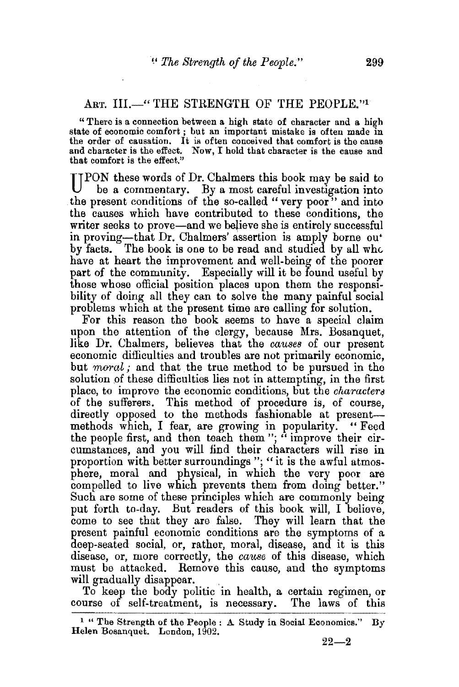## ART. III.—" THE STRENGTH OF THE PEOPLE."1

" There is a connection between a high state of character and a high state of economic comfort; but an important mistake is often made in the order of causation. It is often conceived that comfort is the cause and character is the effect. Now, I hold that character is the cause and that comfort is the effect."

**IIPON** these words of Dr. Chalmers this book may be said to be a commentary. By a most careful investigation into the present conditions of the so-called "very poor" and into the causes which have contributed to these conditions, the writer seeks to prove—and we believe she is entirely successful in proving-that Dr. Chalmers' assertion is amply borne ou• by facts. The book is one to be read and studied by all whc. have at heart the improvement and well-being of the poorer part of the community. Especially will it be found useful by those whose official position places upon them the responsibility of doing all they can to solve the many painful social problems which at the present time are calling for solution.

For this reason the book seems to have a special claim upon the attention of the clergy, because Mrs. Bosanquet, like Dr. Chalmers, believes that the *causes* of our present economic difficulties and troubles are not primarily economic, but *moral*; and that the true method to be pursued in the solution of these difficulties lies not in attempting, in the first place, to improve the economic conditions, but the *characterd*  of the sufferers. This method of procedure is, of course, directly opposed to the methods fashionable at presentmethods which, I fear, are growing in popularity. "Feed the people first, and then teach them"; "improve their circumstances, and you will find their characters will rise in proportion with better surroundings"; "it is the awful atmosphere, moral and physical, in which the very poor are compelled to live which prevents them from doing better." Such are some of these principles which are commonly being put forth to-day. But readers of this book will, I believe, come to see that they are false. They will learn that the present painful economic conditions are the symptoms of a deep-seated social, or, rather, moral, disease, and it is this disease, or, more correctly, the *cause* of this disease, which must be attacked. Remove this cause, and the symptoms will gradually disappear.<br>To keep the body politic in health, a certain regimen, or

course of self-treatment, is necessary. The laws of this

 $1$  " The Strength of the People :  $\Delta$  Study in Social Economics." By Helen Bosanquet. London, 1902.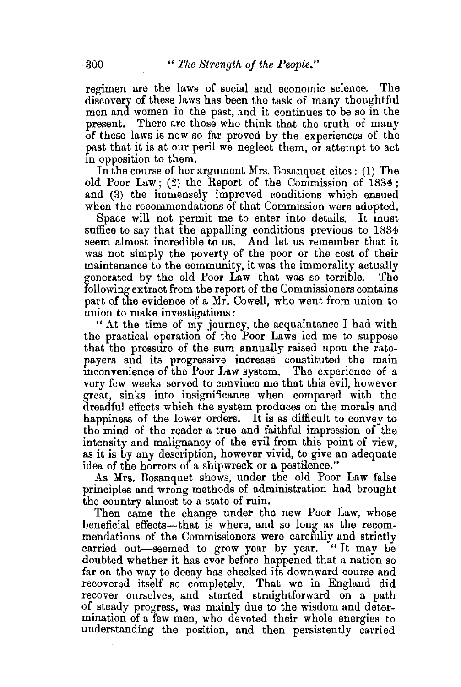regimen are the laws of social and economic science. The discovery of these laws has been the task of many thoughtful men and women in the past, and it continues to be so in the present. There are those who think that the truth of many of these laws is now so far proved by the experiences of the past that it is at our peril we neglect them, or attempt to act m opposition to them.

In the course of her argument Mrs. Bosanquet cites: (1) The old Poor Law; (2) the Report of the Commission of 1834; and (3) the immensely improved conditions which ensued when the recommendations of that Commission were adopted.

Space will not permit me to enter into details. It must suffice to say that the appalling conditions previous to 1834 seem almost incredible to us. And let us remember that it was not simply the poverty of the poor or the cost of their maintenance to the community, it was the immorality actually generated by the old Poor Law that was so terrible. The generated by the old Poor Law that was so terrible. following extract from the report of the Commissioners contains part of the evidence of a Mr. Cowell, who went from union to union to make investigations:

"At the time of my journey, the acquaintance I had with the practical operation of the Poor Laws led me to suppose that the pressure of the sum annually raised upon the ratepayers and its progressive increase constituted the main inconvenience of the Poor Law system. The experience of a very few weeks served to convince me that this evil, however great, sinks into insignificance when compared with the dreadful effects which the system produces on the morals and happiness of the lower orders. It is as difficult to convey to the mind of the reader a true and faithful impression of the intensity and malignancy of the evil from this point of view, as it is by any description, however vivid, to give an adequate idea of the horrors of a shipwreck or a pestilence."

As Mrs. Bosanquet shows, under the old Poor Law false principles and wrong methods of administration had brought the country almost to a state of ruin.

Then came the change under the new Poor Law, whose beneficial effects—that is where, and so long as the recommendations of the Commissioners were carefully and strictly carried out-seemed to grow year by year. "It may be doubted whether it has ever before happened that a nation so far on the way to decay has checked its downward course and recovered itself so completely. That we in England did recover ourselves, and started straightforward on a path of steady progress, was mainly due to the wisdom and determination of a few men, who devoted their whole energies to understanding the position, and then persistently carried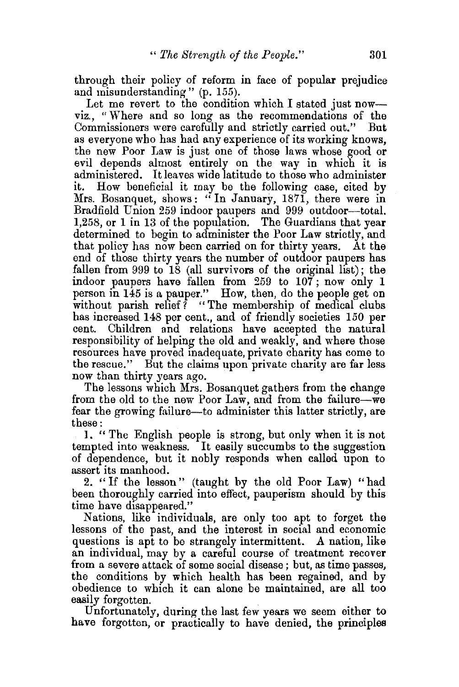through their policy of reform in face of popular prejudice and misunderstanding" (p. 155).

Let me revert to the condition which I stated just nowviz., " Where and so long as the recommendations of the Commissioners were carefully and strictly carried out." But as everyone who bas bad any experience of its working knows, the new Poor Law is just one of those laws whose good or evil depends almost entirely on the way in which it is administered. It leaves wide latitude to those who administer How beneficial it may be the following case, cited by Mrs. Bosanquet, shows: "In January, 1871, there were in Bradfield Union 259 indoor paupers and 999 outdoor-total. 1,258, or 1 in 13 of the population. The Guardians that year determined to begin to administer the Poor Law strictly, and that policy has now been carried on for thirty years. At the end of those thirty years the number of outdoor paupers has fallen from  $999$  to 18 (all survivors of the original list); the indoor paupers have fallen from 259 to 107; now only 1 person in  $145$  is a pauper." How, then, do the people get on without parish relief? "The membership of medical clubs has increased 148 per cent., and of friendly societies 150 per cent. Children and relations have accepted the natural responsibility of helping the old and weakly, and where those resources have proved madequate, private charity bas come to the rescue." But the claims upon private charity are far less now than thirty years ago.

The lessons which Mrs. Bosanquet gathers from the change from the old to the new Poor Law, and from the failure-we fear the growing failure—to administer this latter strictly, are these:

l. " The English people is strong, but only when it is not tempted into weakness. It easily succumbs to the suggestion of dependence, but it nobly responds when called upon to assert its manhood.

2. "If the lesson" (taught by the old Poor Law) "had been thoroughly carried into effect, pauperism should by this time have disappeared."

Nations, like individuals, are only too apt to forget the lessons of the past, and the interest in social and economic questions is apt to be strangely intermittent. A nation, like an individual, may by a careful course of treatment recover from a severe attack of some social disease ; but, as time passes, the conditions by which health has been regained, and by obedience to which it can alone be maintained, are all too easily forgotten.

Unfortunately, during the last few years we seem either to have forgotten, or practically to have denied, the principles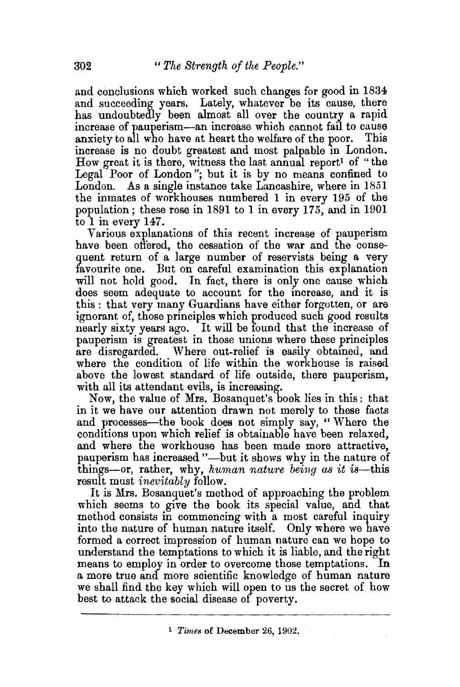and conclusions which worked such changes for good in 1834 and succeeding years. Lately, whatever be its cause, there has undoubtedly been almost all over the country a rapid increase of pauperism-an increase which cannot fail to cause anxiety to all who have at heart the welfare of the poor. This increase is no doubt greatest and most palpable in London. How great it is there, witness the last annual report<sup>1</sup> of "the Legal Poor of London"; but it is by no means confined to London. As a single instance take Lancashire. where in 1851 As a single instance take Lancashire, where in 1851 the inmates of workhouses numbered 1 in every 195 of the population; these rose in 1891 to 1 in every 175, and in 1901 to 1 in every 147.

Various explanations of this recent increase of pauperism have been offered, the cessation of the war and the conseguent return of a large number of reservists being a very favourite one. But on careful examination this explanation will not hold good. In fact, there is only one cause which does seem adequate to account for the increase, and it is this: that very many Guardians have either forgotten, or are ignorant of, those principles which produced such good results nearly sixty years ago. It will be found that the increase of pauperism is greatest in those unions where these principles are disregarded. Where out-relief is easily obtained, and where the condition of life within the workhouse is raised above the lowest standard of life outside, there pauperism, with all its attendant evils, is increasing.

Now, the value of Mrs. Bosanquet's book lies in this: that in it we have our attention drawn not merely to these facts and processes-the book does not simply say, " Where the conditions upon which relief is obtainable have been relaxed, and where the workhouse has been made more attractive, pauperism has increased "-- but it shows why in the nature of things-or, rather, why, *human nature being as it is*-this result must *inevitably* follow.

It is Mrs. Bosanquet's method of approaching the problem which seems to give the book its special value, and that method consists in commencing with a most careful inquiry into the nature of human nature itself. Only where we have formed a correct impression of human nature can we hope to understand the temptations to which it is liable, and the right means to employ in order to overcome those temptations. In a more true and more scientific knowledge of human nature we shall find the key which will open to us the secret of how best to attack the social disease of poverty.

<sup>1</sup> *Times* of December 26, 1902.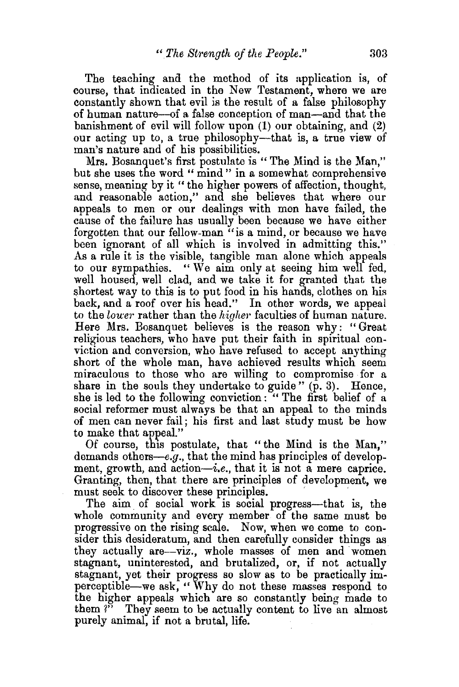The teaching and the method of its application is, of course, that indicated in the New Testament, where we are constantly shown that evil is the result of a false philosophy of human nature-of a false conception of man-and that the banishment of evil will follow upon (1) our obtaining, and (2) our acting up to, a true philosophy-that is, a true view of man's nature and of his possibilities.

Mrs. Bosanquet's first postulate is "The Mind is the Man," but she uses the word" mind" in a somewhat comprehensive sense, meaning by it " the higher powers of affection, thought, and reasonable action," and she believes that where our appeals to men or our dealings with men have failed, the cause of the failure has usually been because we have either forgotten that our fellow-man "is a mind, or because we have been ignorant of all which is involved in admitting this." As a rule it is the visible, tangible man alone which appeals to our sympathies. " We aim only at seeing him well fed, well housed, well clad, and we take it for granted that the shortest way to this is to put food in his hands, clothes on his back, and a roof over his head." In other words, we appeal to the *lower* rather than the *higher* faculties of human nature. Here Mrs. Bosanquet believes is the reason why: " Great religious teachers, who have put their faith in spiritual conviction and conversion, who have refused to accept anything short of the whole man, have achieved results which seem miraculous to those who are willing to compromise for a share in the souls they undertake to guide"  $(p, 3)$ . Hence, she is led to the following conviction: " The first belief of a social reformer must always be that an appeal to the minds of men can never fail; his first and last study must be how to make that appeal."

Of course, this postulate, that "the Mind is the Man," demands others—e.g., that the mind has principles of development, growth, and action $-i.e.$ , that it is not a mere caprice. Granting, then, that there are principles of development, we

must seek to discover these principles.<br>The aim of social work is social progress—that is, the whole community and every member of the same must be progressive on the rising scale. Now, when we come to consider this desideratum, and then carefully consider things as they actually are-viz., whole masses of men and women stagnant, uninterested, and brutalized, or, if not actually stagnant, yet their progress so slow as to be practically imperceptible-we ask, "Why do not these masses respond to the higher appeals which are so constantly being made to them *?"* They seem to be actually content to live an almost purely animal, if not a brutal, life.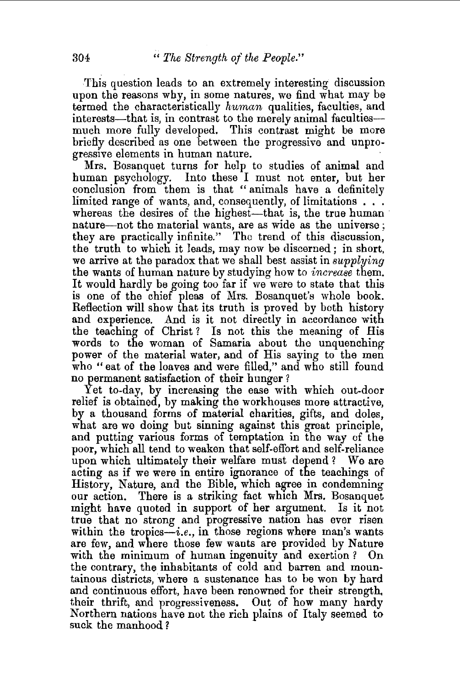This question leads to an extremely interesting discussion upon the reasons why, in some natures, we find what may be termed the characteristically *human* qualities, faculties, and interests—that is, in contrast to the merely animal faculties much more fully developed. This contrast might be more briefly described as one between the progressive and unprogressive elements in human nature.<br>Mrs. Bosanquet turns for help to studies of animal and

human psychology. Into these I must not enter, but her conclusion from them is that " animals have a definitely limited range of wants, and, consequently, of limitations . . . whereas the desires of the highest-that is, the true human nature-not the material wants, are as wide as the universe; they are practically infinite." The trend of this discussion, the truth to which it leads, may now be discerned ; in short, we arrive at the paradox that we shall best assist in *supplying*  the wants of human nature by studying how to *increase* them. It would hardly be going too far if we were to state that this is one of the chief pleas of Mrs. Bosanquet's whole book. Reflection will show that its truth is proved by both history and experience. And is it not directly in accordance with the teaching of Christ ? Is not this the meaning of His words to the woman of Samaria about the unquenching power of the material water, and of His saying to the men who "eat of the loaves and were filled," and who still found no permanent satisfaction of their hunger ?

Yet to-day, by increasing the ease with which out-door relief is obtained, by making the workhouses more attractive, by a thousand forms of material charities, gifts, and doles, what are we doing but sinning against this great principle, and putting various forms of temptation in the way of the poor, which all tend to weaken that self-effort and self-reliance upon which ultimately their welfare must depend ? We are acting as if we were in entire ignorance of the teachings of History, Nature, and the Bible, which agree in condemning our action. There is a striking fact which Mrs. Bosanquet might have quoted in support of her argument. Is it not true that no strong and progressive nation has ever risen within the tropics-i.e., in those regions where man's wants are few, and where those few wants are provided by Nature with the minimum of human ingenuity and exertion ? On the contrary, the inhabitants of cold and barren and mountainous districts, where a sustenance has to be won by hard and continuous effort, have been renowned for their strength. their thrift, and progressiveness. Out of how many hardy Northern nations have not the rich plains of Italy seemed to suck the manhood ?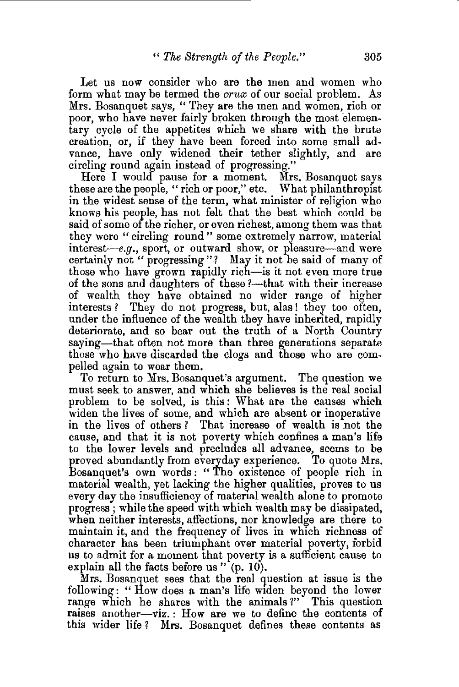Let us now consider who are the men and women who form what may be termed the *crux* of our social problem. As Mrs. Bosanquet says, " They are the men and women, rich or poor, who have never fairly broken through the most elementary cycle of the appetites which we share with the brute creation, or, if they have been forced into some small advance, have only widened their tether slightly, and are circling round again instead of progressing."

Here I would pause for a moment. Mrs. Bosanquet says these are the people, "rich or poor," etc. What philanthropist in the widest sense of the term, what minister of religion who knows his people, has not felt that the best which could be said of some of the richer, or even richest, among them was that they were "circling round " some extremely narrow, material interest-e.g., sport, or outward show, or pleasure-and were certainly not " progressing"? May it not be said of many of those who have grown rapidly rich-is it not even more true of the sons and daughters of these ?—that with their increase of wealth they have obtained no wider range of higher interests? They do not progress, but, alas! they too often, under the influence of the wealth they have inherited, rapidly deteriorate, and so bear out the truth of a North Country saying—that often not more than three generations separate those who have discarded the clogs and those who are compelled again to wear them.

To return to Mrs. Bosanquet's argument. The question we must seek to answer, and which she believes is the real social problem to be solved, is this : What are the causes which widen the lives of some, and which are absent or inoperative in the lives of others? That increase of wealth is not the cause, and that it is not poverty which confines a man's life to the lower levels and precludes all advance, seems to be proved abundantly from everyday experience. To quote Mrs. Bosanquet's own words: "The existence of people rich in material wealth, yet lacking the higher qualities, proves to us every day the insufficiency of material wealth alone to promote progress ; while the speed with which wealth may be dissipated, when neither interests, affections, nor knowledge are there to maintain it, and the frequency of lives in which richness of character has been triumphant over material poverty, forbid us to admit for a moment that poverty is a sufficient cause to explain all the facts before us " (p. 10).

Mrs. Bosanquet sees that the real question at issue is the following: " How does a man's life wtden beyond the lower range which he shares with the animals *1"* This question raises another-viz. : How are we to define the contents of this wider life ? Mrs. Bosanquet defines these contents as